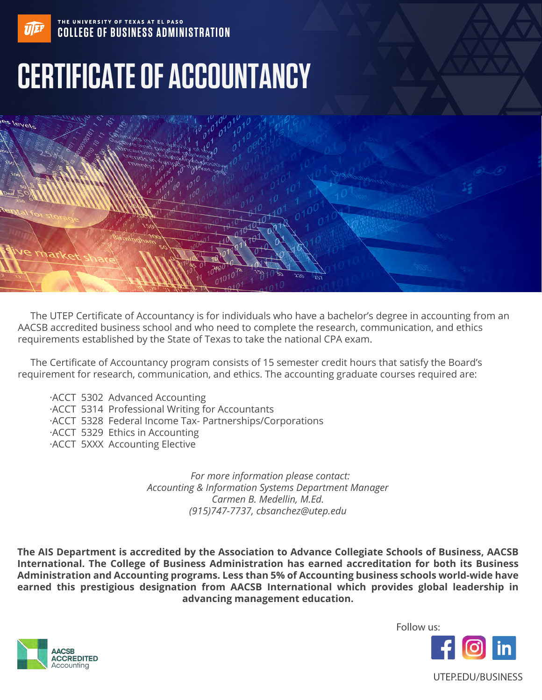

# THE UNIVERSITY OF TEXAS AT EL PASO **COLLEGE OF BUSINESS ADMINISTRATION**

# **CERTIFICATE OF ACCOUNTANCY**



 The UTEP Certificate of Accountancy is for individuals who have a bachelor's degree in accounting from an AACSB accredited business school and who need to complete the research, communication, and ethics requirements established by the State of Texas to take the national CPA exam.

 The Certificate of Accountancy program consists of 15 semester credit hours that satisfy the Board's requirement for research, communication, and ethics. The accounting graduate courses required are:

- ·ACCT 5302 Advanced Accounting
- ·ACCT 5314 Professional Writing for Accountants
- ·ACCT 5328 Federal Income Tax- Partnerships/Corporations
- ·ACCT 5329 Ethics in Accounting
- ·ACCT 5XXX Accounting Elective

*For more information please contact: Accounting & Information Systems Department Manager Carmen B. Medellin, M.Ed. (915)747-7737, cbsanchez@utep.edu*

**The AIS Department is accredited by the Association to Advance Collegiate Schools of Business, AACSB International. The College of Business Administration has earned accreditation for both its Business Administration and Accounting programs. Less than 5% of Accounting business schools world-wide have earned this prestigious designation from AACSB International which provides global leadership in advancing management education.**



Follow us: